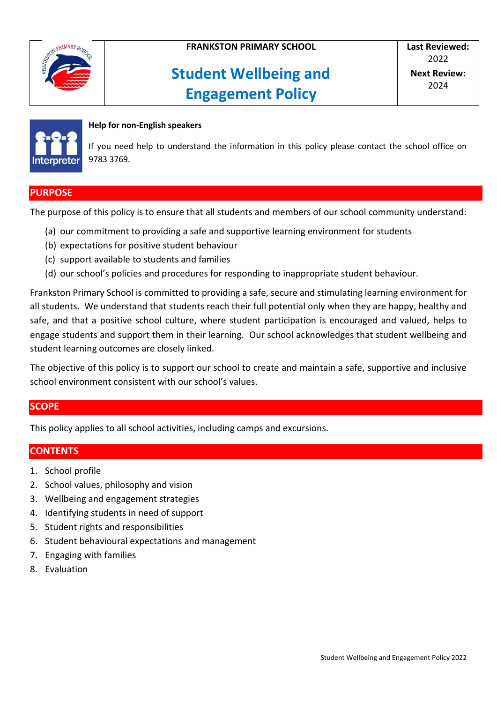

# **Student Wellbeing and Engagement Policy**



#### **Help for non-English speakers**

If you need help to understand the information in this policy please contact the school office on 9783 3769.

#### **PURPOSE**

The purpose of this policy is to ensure that all students and members of our school community understand:

- (a) our commitment to providing a safe and supportive learning environment for students
- (b) expectations for positive student behaviour
- (c) support available to students and families
- (d) our school's policies and procedures for responding to inappropriate student behaviour.

Frankston Primary School is committed to providing a safe, secure and stimulating learning environment for all students. We understand that students reach their full potential only when they are happy, healthy and safe, and that a positive school culture, where student participation is encouraged and valued, helps to engage students and support them in their learning. Our school acknowledges that student wellbeing and student learning outcomes are closely linked.

The objective of this policy is to support our school to create and maintain a safe, supportive and inclusive school environment consistent with our school's values.

#### **SCOPE**

This policy applies to all school activities, including camps and excursions.

#### **CONTENTS**

- 1. School profile
- 2. School values, philosophy and vision
- 3. Wellbeing and engagement strategies
- 4. Identifying students in need of support
- 5. Student rights and responsibilities
- 6. Student behavioural expectations and management
- 7. Engaging with families
- 8. Evaluation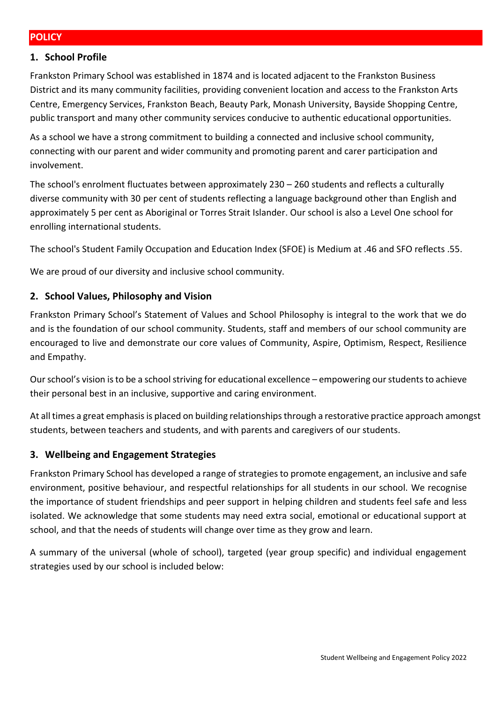#### **1. School Profile**

Frankston Primary School was established in 1874 and is located adjacent to the Frankston Business District and its many community facilities, providing convenient location and access to the Frankston Arts Centre, Emergency Services, Frankston Beach, Beauty Park, Monash University, Bayside Shopping Centre, public transport and many other community services conducive to authentic educational opportunities.

As a school we have a strong commitment to building a connected and inclusive school community, connecting with our parent and wider community and promoting parent and carer participation and involvement.

The school's enrolment fluctuates between approximately 230 – 260 students and reflects a culturally diverse community with 30 per cent of students reflecting a language background other than English and approximately 5 per cent as Aboriginal or Torres Strait Islander. Our school is also a Level One school for enrolling international students.

The school's Student Family Occupation and Education Index (SFOE) is Medium at .46 and SFO reflects .55.

We are proud of our diversity and inclusive school community.

#### **2. School Values, Philosophy and Vision**

Frankston Primary School's Statement of Values and School Philosophy is integral to the work that we do and is the foundation of our school community. Students, staff and members of our school community are encouraged to live and demonstrate our core values of Community, Aspire, Optimism, Respect, Resilience and Empathy.

Our school's vision is to be a school striving for educational excellence – empowering our students to achieve their personal best in an inclusive, supportive and caring environment.

At all times a great emphasis is placed on building relationships through a restorative practice approach amongst students, between teachers and students, and with parents and caregivers of our students.

#### **3. Wellbeing and Engagement Strategies**

Frankston Primary School has developed a range of strategies to promote engagement, an inclusive and safe environment, positive behaviour, and respectful relationships for all students in our school. We recognise the importance of student friendships and peer support in helping children and students feel safe and less isolated. We acknowledge that some students may need extra social, emotional or educational support at school, and that the needs of students will change over time as they grow and learn.

A summary of the universal (whole of school), targeted (year group specific) and individual engagement strategies used by our school is included below: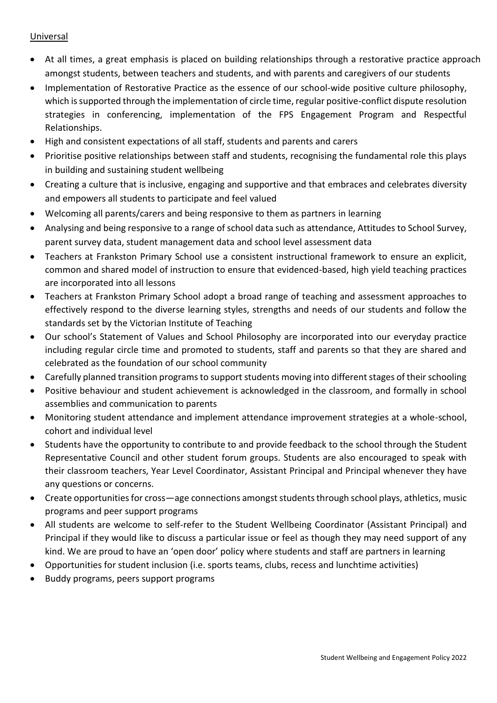#### Universal

- At all times, a great emphasis is placed on building relationships through a restorative practice approach amongst students, between teachers and students, and with parents and caregivers of our students
- Implementation of Restorative Practice as the essence of our school-wide positive culture philosophy, which is supported through the implementation of circle time, regular positive-conflict dispute resolution strategies in conferencing, implementation of the FPS Engagement Program and Respectful Relationships.
- High and consistent expectations of all staff, students and parents and carers
- Prioritise positive relationships between staff and students, recognising the fundamental role this plays in building and sustaining student wellbeing
- Creating a culture that is inclusive, engaging and supportive and that embraces and celebrates diversity and empowers all students to participate and feel valued
- Welcoming all parents/carers and being responsive to them as partners in learning
- Analysing and being responsive to a range of school data such as attendance, Attitudes to School Survey, parent survey data, student management data and school level assessment data
- Teachers at Frankston Primary School use a consistent instructional framework to ensure an explicit, common and shared model of instruction to ensure that evidenced-based, high yield teaching practices are incorporated into all lessons
- Teachers at Frankston Primary School adopt a broad range of teaching and assessment approaches to effectively respond to the diverse learning styles, strengths and needs of our students and follow the standards set by the Victorian Institute of Teaching
- Our school's Statement of Values and School Philosophy are incorporated into our everyday practice including regular circle time and promoted to students, staff and parents so that they are shared and celebrated as the foundation of our school community
- Carefully planned transition programs to support students moving into different stages of their schooling
- Positive behaviour and student achievement is acknowledged in the classroom, and formally in school assemblies and communication to parents
- Monitoring student attendance and implement attendance improvement strategies at a whole-school, cohort and individual level
- Students have the opportunity to contribute to and provide feedback to the school through the Student Representative Council and other student forum groups. Students are also encouraged to speak with their classroom teachers, Year Level Coordinator, Assistant Principal and Principal whenever they have any questions or concerns.
- Create opportunities for cross—age connections amongst students through school plays, athletics, music programs and peer support programs
- All students are welcome to self-refer to the Student Wellbeing Coordinator (Assistant Principal) and Principal if they would like to discuss a particular issue or feel as though they may need support of any kind. We are proud to have an 'open door' policy where students and staff are partners in learning
- Opportunities for student inclusion (i.e. sports teams, clubs, recess and lunchtime activities)
- Buddy programs, peers support programs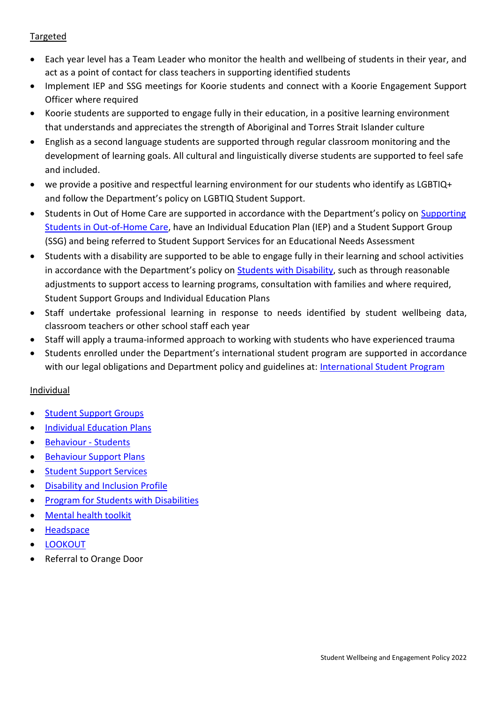### Targeted

- Each year level has a Team Leader who monitor the health and wellbeing of students in their year, and act as a point of contact for class teachers in supporting identified students
- Implement IEP and SSG meetings for Koorie students and connect with a Koorie Engagement Support Officer where required
- Koorie students are supported to engage fully in their education, in a positive learning environment that understands and appreciates the strength of Aboriginal and Torres Strait Islander culture
- English as a second language students are supported through regular classroom monitoring and the development of learning goals. All cultural and linguistically diverse students are supported to feel safe and included.
- we provide a positive and respectful learning environment for our students who identify as LGBTIQ+ and follow the Department's policy on LGBTIQ Student Support.
- Students in Out of Home Care are supported in accordance with the Department's policy on Supporting [Students in Out-of-Home Care,](https://www2.education.vic.gov.au/pal/supporting-students-out-home-care/policy) have an Individual Education Plan (IEP) and a Student Support Group (SSG) and being referred to Student Support Services for an Educational Needs Assessment
- Students with a disability are supported to be able to engage fully in their learning and school activities in accordance with the Department's policy on [Students with Disability,](https://www2.education.vic.gov.au/pal/students-disability/policy) such as through reasonable adjustments to support access to learning programs, consultation with families and where required, Student Support Groups and Individual Education Plans
- Staff undertake professional learning in response to needs identified by student wellbeing data, classroom teachers or other school staff each year
- Staff will apply a trauma-informed approach to working with students who have experienced trauma
- Students enrolled under the Department's international student program are supported in accordance with our legal obligations and Department policy and guidelines at: International Student Program

#### Individual

- [Student Support Groups](https://www2.education.vic.gov.au/pal/student-support-groups/policy)
- **•** [Individual Education Plans](https://www2.education.vic.gov.au/pal/individual-education-plans-ieps/policy)
- **•** [Behaviour -](https://www2.education.vic.gov.au/pal/behaviour-students/policy) Students
- [Behaviour Support Plans](https://www2.education.vic.gov.au/pal/behaviour-students/guidance/6-behaviour-support-plans)
- [Student Support Services](https://www2.education.vic.gov.au/pal/student-support-services/policy)
- [Disability and Inclusion](https://www2.education.vic.gov.au/pal/disability-inclusion-profile/policy) Profile
- **•** [Program for Students with Disabilities](https://www.education.vic.gov.au/school/teachers/learningneeds/Pages/psd.aspx)
- [Mental health toolkit](https://www.education.vic.gov.au/school/teachers/health/mentalhealth/Pages/mentalhealthtoolkit.aspx)
- [Headspace](https://www.education.vic.gov.au/school/teachers/health/mentalhealth/Pages/headspace-counselling-secondary.aspx)
- **[LOOKOUT](https://www.education.vic.gov.au/about/programs/Pages/lookout.aspx)**
- Referral to Orange Door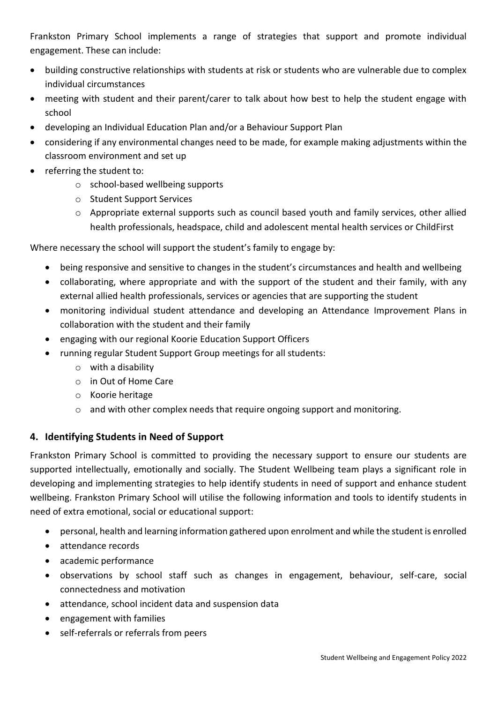Frankston Primary School implements a range of strategies that support and promote individual engagement. These can include:

- building constructive relationships with students at risk or students who are vulnerable due to complex individual circumstances
- meeting with student and their parent/carer to talk about how best to help the student engage with school
- developing an Individual Education Plan and/or a Behaviour Support Plan
- considering if any environmental changes need to be made, for example making adjustments within the classroom environment and set up
- referring the student to:
	- o school-based wellbeing supports
	- o Student Support Services
	- $\circ$  Appropriate external supports such as council based youth and family services, other allied health professionals, headspace, child and adolescent mental health services or ChildFirst

Where necessary the school will support the student's family to engage by:

- being responsive and sensitive to changes in the student's circumstances and health and wellbeing
- collaborating, where appropriate and with the support of the student and their family, with any external allied health professionals, services or agencies that are supporting the student
- monitoring individual student attendance and developing an Attendance Improvement Plans in collaboration with the student and their family
- engaging with our regional Koorie Education Support Officers
- running regular Student Support Group meetings for all students:
	- $\circ$  with a disability
	- o in Out of Home Care
	- o Koorie heritage
	- $\circ$  and with other complex needs that require ongoing support and monitoring.

## **4. Identifying Students in Need of Support**

Frankston Primary School is committed to providing the necessary support to ensure our students are supported intellectually, emotionally and socially. The Student Wellbeing team plays a significant role in developing and implementing strategies to help identify students in need of support and enhance student wellbeing. Frankston Primary School will utilise the following information and tools to identify students in need of extra emotional, social or educational support:

- personal, health and learning information gathered upon enrolment and while the student is enrolled
- attendance records
- academic performance
- observations by school staff such as changes in engagement, behaviour, self-care, social connectedness and motivation
- attendance, school incident data and suspension data
- engagement with families
- self-referrals or referrals from peers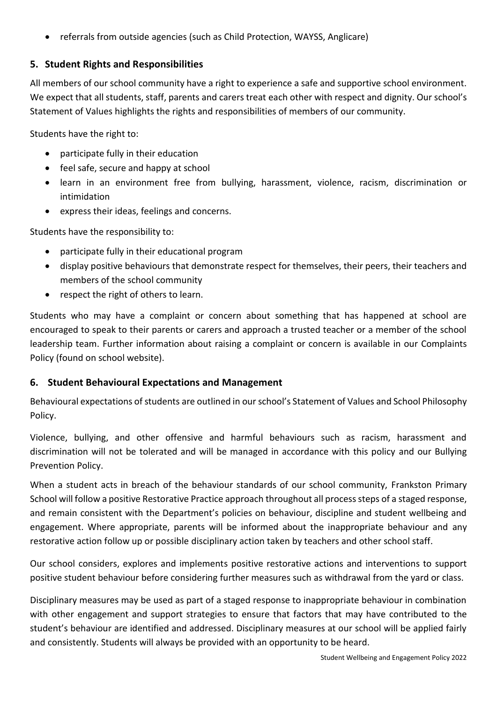referrals from outside agencies (such as Child Protection, WAYSS, Anglicare)

## **5. Student Rights and Responsibilities**

All members of our school community have a right to experience a safe and supportive school environment. We expect that all students, staff, parents and carers treat each other with respect and dignity. Our school's Statement of Values highlights the rights and responsibilities of members of our community.

Students have the right to:

- participate fully in their education
- feel safe, secure and happy at school
- learn in an environment free from bullying, harassment, violence, racism, discrimination or intimidation
- express their ideas, feelings and concerns.

Students have the responsibility to:

- participate fully in their educational program
- display positive behaviours that demonstrate respect for themselves, their peers, their teachers and members of the school community
- respect the right of others to learn.

Students who may have a complaint or concern about something that has happened at school are encouraged to speak to their parents or carers and approach a trusted teacher or a member of the school leadership team. Further information about raising a complaint or concern is available in our Complaints Policy (found on school website).

#### **6. Student Behavioural Expectations and Management**

Behavioural expectations of students are outlined in our school's Statement of Values and School Philosophy Policy.

Violence, bullying, and other offensive and harmful behaviours such as racism, harassment and discrimination will not be tolerated and will be managed in accordance with this policy and our Bullying Prevention Policy.

When a student acts in breach of the behaviour standards of our school community, Frankston Primary School will follow a positive Restorative Practice approach throughout all process steps of a staged response, and remain consistent with the Department's policies on behaviour, discipline and student wellbeing and engagement. Where appropriate, parents will be informed about the inappropriate behaviour and any restorative action follow up or possible disciplinary action taken by teachers and other school staff.

Our school considers, explores and implements positive restorative actions and interventions to support positive student behaviour before considering further measures such as withdrawal from the yard or class.

Disciplinary measures may be used as part of a staged response to inappropriate behaviour in combination with other engagement and support strategies to ensure that factors that may have contributed to the student's behaviour are identified and addressed. Disciplinary measures at our school will be applied fairly and consistently. Students will always be provided with an opportunity to be heard.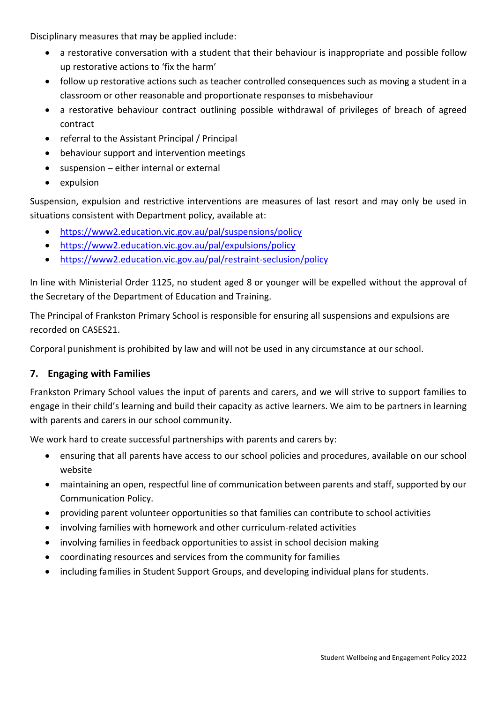Disciplinary measures that may be applied include:

- a restorative conversation with a student that their behaviour is inappropriate and possible follow up restorative actions to 'fix the harm'
- follow up restorative actions such as teacher controlled consequences such as moving a student in a classroom or other reasonable and proportionate responses to misbehaviour
- a restorative behaviour contract outlining possible withdrawal of privileges of breach of agreed contract
- referral to the Assistant Principal / Principal
- behaviour support and intervention meetings
- suspension either internal or external
- expulsion

Suspension, expulsion and restrictive interventions are measures of last resort and may only be used in situations consistent with Department policy, available at:

- <https://www2.education.vic.gov.au/pal/suspensions/policy>
- <https://www2.education.vic.gov.au/pal/expulsions/policy>
- <https://www2.education.vic.gov.au/pal/restraint-seclusion/policy>

In line with Ministerial Order 1125, no student aged 8 or younger will be expelled without the approval of the Secretary of the Department of Education and Training.

The Principal of Frankston Primary School is responsible for ensuring all suspensions and expulsions are recorded on CASES21.

Corporal punishment is prohibited by law and will not be used in any circumstance at our school.

## **7. Engaging with Families**

Frankston Primary School values the input of parents and carers, and we will strive to support families to engage in their child's learning and build their capacity as active learners. We aim to be partners in learning with parents and carers in our school community.

We work hard to create successful partnerships with parents and carers by:

- ensuring that all parents have access to our school policies and procedures, available on our school website
- maintaining an open, respectful line of communication between parents and staff, supported by our Communication Policy.
- providing parent volunteer opportunities so that families can contribute to school activities
- involving families with homework and other curriculum-related activities
- involving families in feedback opportunities to assist in school decision making
- coordinating resources and services from the community for families
- including families in Student Support Groups, and developing individual plans for students.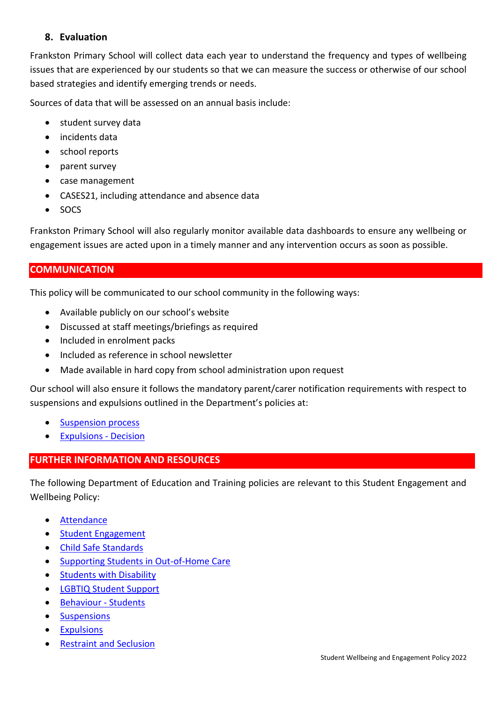## **8. Evaluation**

Frankston Primary School will collect data each year to understand the frequency and types of wellbeing issues that are experienced by our students so that we can measure the success or otherwise of our school based strategies and identify emerging trends or needs.

Sources of data that will be assessed on an annual basis include:

- student survey data
- incidents data
- school reports
- parent survey
- case management
- CASES21, including attendance and absence data
- SOCS

Frankston Primary School will also regularly monitor available data dashboards to ensure any wellbeing or engagement issues are acted upon in a timely manner and any intervention occurs as soon as possible.

### **COMMUNICATION**

This policy will be communicated to our school community in the following ways:

- Available publicly on our school's website
- Discussed at staff meetings/briefings as required
- Included in enrolment packs
- Included as reference in school newsletter
- Made available in hard copy from school administration upon request

Our school will also ensure it follows the mandatory parent/carer notification requirements with respect to suspensions and expulsions outlined in the Department's policies at:

- [Suspension process](https://www2.education.vic.gov.au/pal/suspensions/guidance/1-suspension-process)
- [Expulsions -](https://www2.education.vic.gov.au/pal/expulsions/guidance/decision) Decision

#### **FURTHER INFORMATION AND RESOURCES**

The following Department of Education and Training policies are relevant to this Student Engagement and Wellbeing Policy:

- [Attendance](https://www2.education.vic.gov.au/pal/attendance/policy)
- **•** [Student Engagement](https://www2.education.vic.gov.au/pal/student-engagement/policy)
- [Child Safe Standards](https://www2.education.vic.gov.au/pal/child-safe-standards/policy)
- [Supporting Students in Out-of-Home Care](https://www2.education.vic.gov.au/pal/supporting-students-out-home-care/policy)
- **•** [Students with Disability](https://www2.education.vic.gov.au/pal/students-disability/policy)
- [LGBTIQ Student Support](https://www2.education.vic.gov.au/pal/lgbtiq-student-support/policy)
- [Behaviour -](https://www2.education.vic.gov.au/pal/behaviour-students/policy) Students
- **•** [Suspensions](https://www2.education.vic.gov.au/pal/suspensions/policy)
- [Expulsions](https://www2.education.vic.gov.au/pal/expulsions/policy)
- **•** [Restraint and Seclusion](https://www2.education.vic.gov.au/pal/restraint-seclusion/policy)